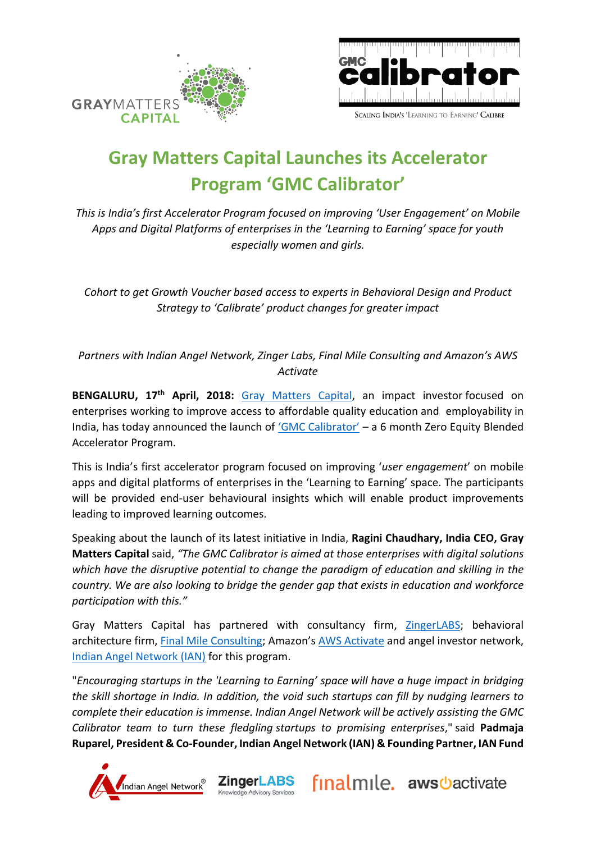



# **Gray Matters Capital Launches its Accelerator Program 'GMC Calibrator'**

*This is India's first Accelerator Program focused on improving 'User Engagement' on Mobile Apps and Digital Platforms of enterprises in the 'Learning to Earning' space for youth especially women and girls.*

*Cohort to get Growth Voucher based access to experts in Behavioral Design and Product Strategy to 'Calibrate' product changes for greater impact* 

*Partners with Indian Angel Network, Zinger Labs, Final Mile Consulting and Amazon's AWS Activate* 

**BENGALURU, 17th April, 2018:** [Gray Matters Capital,](file:///C:/Users/USER/Desktop/Gray%20Matters%20Capital/Investee%20Cos/www,graymatterscap.com) an impact investor focused on enterprises working to improve access to affordable quality education and employability in India, has today announced the launch of ['GMC Calibrator'](http://graymatterscap.com/gmc-calibrator/) – a 6 month Zero Equity Blended Accelerator Program.

This is India's first accelerator program focused on improving '*user engagement*' on mobile apps and digital platforms of enterprises in the 'Learning to Earning' space. The participants will be provided end-user behavioural insights which will enable product improvements leading to improved learning outcomes.

Speaking about the launch of its latest initiative in India, **Ragini Chaudhary, India CEO, Gray Matters Capital** said, *"The GMC Calibrator is aimed at those enterprises with digital solutions which have the disruptive potential to change the paradigm of education and skilling in the country. We are also looking to bridge the gender gap that exists in education and workforce participation with this."*

Gray Matters Capital has partnered with consultancy firm, [ZingerLABS;](https://www.zingerlabs.com/) behavioral architecture firm, [Final Mile Consulting](http://www.finalmile.in/); Amazon's [AWS Activate](https://aws.amazon.com/activate/) and angel investor network, [Indian Angel Network \(IAN\)](https://www.indianangelnetwork.com/) for this program.

"*Encouraging startups in the 'Learning to Earning' space will have a huge impact in bridging the skill shortage in India. In addition, the void such startups can fill by nudging learners to complete their education is immense. Indian Angel Network will be actively assisting the GMC Calibrator team to turn these fledgling startups to promising enterprises*," said **Padmaja Ruparel, President & Co-Founder, Indian Angel Network (IAN) & Founding Partner, IAN Fund**

**ZingerLABS** 

Chowledge Advisory Service

finalmile. aws bactivate

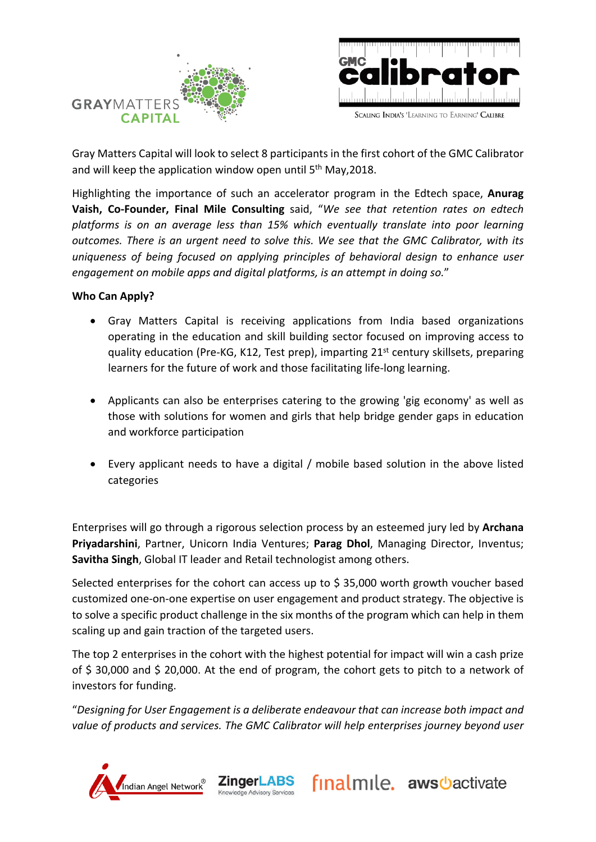



Gray Matters Capital will look to select 8 participants in the first cohort of the GMC Calibrator and will keep the application window open until 5<sup>th</sup> May, 2018.

Highlighting the importance of such an accelerator program in the Edtech space, **Anurag Vaish, Co-Founder, Final Mile Consulting** said, "*We see that retention rates on edtech platforms is on an average less than 15% which eventually translate into poor learning outcomes. There is an urgent need to solve this. We see that the GMC Calibrator, with its uniqueness of being focused on applying principles of behavioral design to enhance user engagement on mobile apps and digital platforms, is an attempt in doing so.*"

#### **Who Can Apply?**

- Gray Matters Capital is receiving applications from India based organizations operating in the education and skill building sector focused on improving access to quality education (Pre-KG, K12, Test prep), imparting 21<sup>st</sup> century skillsets, preparing learners for the future of work and those facilitating life-long learning.
- Applicants can also be enterprises catering to the growing 'gig economy' as well as those with solutions for women and girls that help bridge gender gaps in education and workforce participation
- Every applicant needs to have a digital / mobile based solution in the above listed categories

Enterprises will go through a rigorous selection process by an esteemed jury led by **Archana Priyadarshini**, Partner, Unicorn India Ventures; **Parag Dhol**, Managing Director, Inventus; **Savitha Singh**, Global IT leader and Retail technologist among others.

Selected enterprises for the cohort can access up to  $\frac{1}{2}$  35,000 worth growth voucher based customized one-on-one expertise on user engagement and product strategy. The objective is to solve a specific product challenge in the six months of the program which can help in them scaling up and gain traction of the targeted users.

The top 2 enterprises in the cohort with the highest potential for impact will win a cash prize of \$ 30,000 and \$ 20,000. At the end of program, the cohort gets to pitch to a network of investors for funding.

"*Designing for User Engagement is a deliberate endeavour that can increase both impact and value of products and services. The GMC Calibrator will help enterprises journey beyond user* 

**ZingerLABS** 

**Chowledge Advisory Servic** 

Indian Angel Network

finalmile. aws bactivate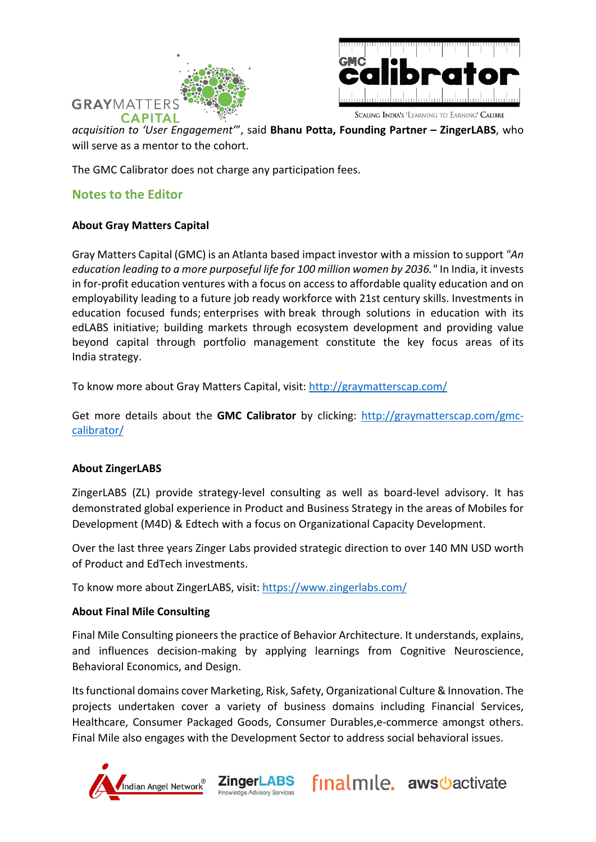



SCALING INDIA'S 'LEARNING TO EARNING' CALIBRE

*acquisition to 'User Engagement'*", said **Bhanu Potta, Founding Partner – ZingerLABS**, who will serve as a mentor to the cohort.

The GMC Calibrator does not charge any participation fees.

# **Notes to the Editor**

### **About Gray Matters Capital**

Gray Matters Capital (GMC) is an Atlanta based impact investor with a mission to support *"An education leading to a more purposeful life for 100 million women by 2036."* In India, it invests in for-profit education ventures with a focus on access to affordable quality education and on employability leading to a future job ready workforce with 21st century skills. Investments in education focused funds; enterprises with break through solutions in education with its edLABS initiative; building markets through ecosystem development and providing value beyond capital through portfolio management constitute the key focus areas of its India strategy.

To know more about Gray Matters Capital, visit: <http://graymatterscap.com/>

Get more details about the **GMC Calibrator** by clicking: [http://graymatterscap.com/gmc](http://graymatterscap.com/gmc-calibrator/)[calibrator/](http://graymatterscap.com/gmc-calibrator/) 

#### **About ZingerLABS**

ZingerLABS (ZL) provide strategy-level consulting as well as board-level advisory. It has demonstrated global experience in Product and Business Strategy in the areas of Mobiles for Development (M4D) & Edtech with a focus on Organizational Capacity Development.

Over the last three years Zinger Labs provided strategic direction to over 140 MN USD worth of Product and EdTech investments.

To know more about ZingerLABS, visit:<https://www.zingerlabs.com/>

**ZingerLABS** 

nowledge Advisory Service

## **About Final Mile Consulting**

Final Mile Consulting pioneers the practice of Behavior Architecture. It understands, explains, and influences decision-making by applying learnings from Cognitive Neuroscience, Behavioral Economics, and Design.

Its functional domains cover Marketing, Risk, Safety, Organizational Culture & Innovation. The projects undertaken cover a variety of business domains including Financial Services, Healthcare, Consumer Packaged Goods, Consumer Durables,e-commerce amongst others. Final Mile also engages with the Development Sector to address social behavioral issues.

finalmile. aws bactivate